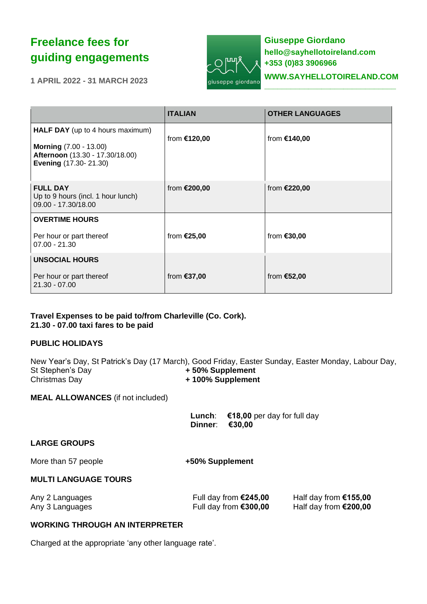# **Freelance fees for guiding engagements**

**1 APRIL 2022 - 31 MARCH 2023**



**Giuseppe Giordano hello@sayhellotoireland.com +353 (0)83 3906966 [WWW.SAYHELLOTOIRELAND.COM](http://www.sayhellotoireland.com/) \_\_\_\_\_\_\_\_\_\_\_\_\_\_\_\_\_\_\_\_\_\_\_\_\_\_\_\_\_\_**

|                                                                                                                                      | <b>ITALIAN</b> | <b>OTHER LANGUAGES</b> |
|--------------------------------------------------------------------------------------------------------------------------------------|----------------|------------------------|
| <b>HALF DAY</b> (up to 4 hours maximum)<br><b>Morning (7.00 - 13.00)</b><br>Afternoon (13.30 - 17.30/18.00)<br>Evening (17.30-21.30) | from €120,00   | from €140,00           |
| <b>FULL DAY</b><br>Up to 9 hours (incl. 1 hour lunch)<br>09.00 - 17.30/18.00                                                         | from €200,00   | from <b>€220,00</b>    |
| <b>OVERTIME HOURS</b>                                                                                                                |                |                        |
| Per hour or part thereof<br>$07.00 - 21.30$                                                                                          | from €25,00    | from €30,00            |
| <b>UNSOCIAL HOURS</b>                                                                                                                |                |                        |
| Per hour or part thereof<br>$21.30 - 07.00$                                                                                          | from €37,00    | from €52,00            |

## **Travel Expenses to be paid to/from Charleville (Co. Cork). 21.30 - 07.00 taxi fares to be paid**

### **PUBLIC HOLIDAYS**

New Year's Day, St Patrick's Day (17 March), Good Friday, Easter Sunday, Easter Monday, Labour Day, St Stephen's Day **+ 50% Supplement** Christmas Day **+ 100% Supplement**

**MEAL ALLOWANCES** (if not included)

 **Lunch**: **€18,00** per day for full day **Dinner**: **€30,00**

### **LARGE GROUPS**

More than 57 people **than** 57 people **than**  $+50\%$  **Supplement** 

# **MULTI LANGUAGE TOURS**

| Any 2 Languages | Full day from $€245,00$ | Half day from $£155,00$ |
|-----------------|-------------------------|-------------------------|
| Any 3 Languages | Full day from €300,00   | Half day from $$200,00$ |

# **WORKING THROUGH AN INTERPRETER**

Charged at the appropriate 'any other language rate'.